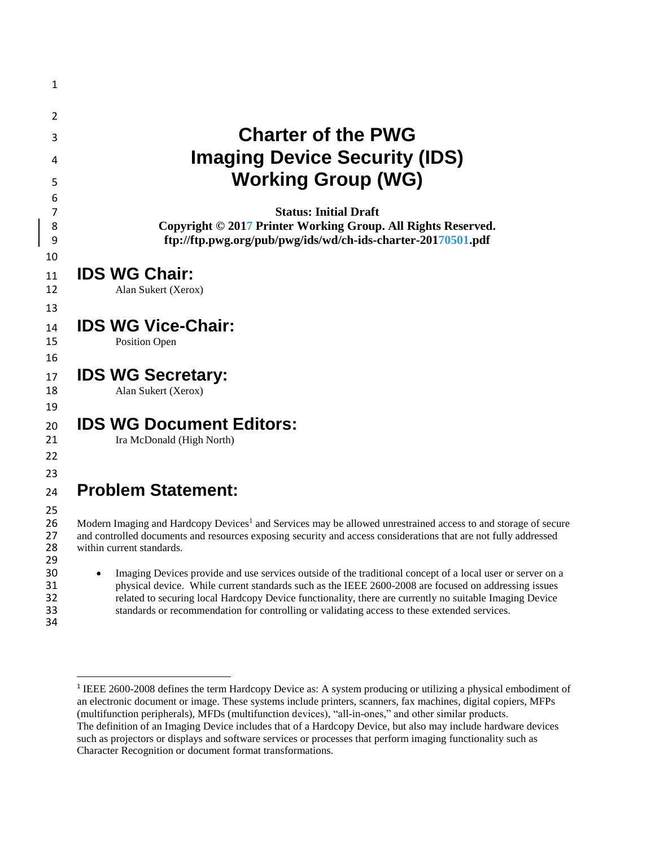| 1                          |                                                                                                                                                                                                                                                                                                                                                                                                                                            |
|----------------------------|--------------------------------------------------------------------------------------------------------------------------------------------------------------------------------------------------------------------------------------------------------------------------------------------------------------------------------------------------------------------------------------------------------------------------------------------|
| 2                          |                                                                                                                                                                                                                                                                                                                                                                                                                                            |
| 3                          | <b>Charter of the PWG</b>                                                                                                                                                                                                                                                                                                                                                                                                                  |
| 4                          | <b>Imaging Device Security (IDS)</b>                                                                                                                                                                                                                                                                                                                                                                                                       |
| 5                          | <b>Working Group (WG)</b>                                                                                                                                                                                                                                                                                                                                                                                                                  |
| 6                          |                                                                                                                                                                                                                                                                                                                                                                                                                                            |
| 7<br>8<br>9                | <b>Status: Initial Draft</b><br>Copyright © 2017 Printer Working Group. All Rights Reserved.<br>ftp://ftp.pwg.org/pub/pwg/ids/wd/ch-ids-charter-20170501.pdf                                                                                                                                                                                                                                                                               |
| 10                         |                                                                                                                                                                                                                                                                                                                                                                                                                                            |
| 11<br>12                   | <b>IDS WG Chair:</b><br>Alan Sukert (Xerox)                                                                                                                                                                                                                                                                                                                                                                                                |
| 13                         |                                                                                                                                                                                                                                                                                                                                                                                                                                            |
| 14<br>15                   | <b>IDS WG Vice-Chair:</b><br>Position Open                                                                                                                                                                                                                                                                                                                                                                                                 |
| 16                         |                                                                                                                                                                                                                                                                                                                                                                                                                                            |
| 17                         | <b>IDS WG Secretary:</b>                                                                                                                                                                                                                                                                                                                                                                                                                   |
| 18<br>19                   | Alan Sukert (Xerox)                                                                                                                                                                                                                                                                                                                                                                                                                        |
| 20                         | <b>IDS WG Document Editors:</b>                                                                                                                                                                                                                                                                                                                                                                                                            |
| 21                         | Ira McDonald (High North)                                                                                                                                                                                                                                                                                                                                                                                                                  |
| 22                         |                                                                                                                                                                                                                                                                                                                                                                                                                                            |
| 23<br>24                   | <b>Problem Statement:</b>                                                                                                                                                                                                                                                                                                                                                                                                                  |
| 25                         |                                                                                                                                                                                                                                                                                                                                                                                                                                            |
| 26<br>27<br>28<br>29       | Modern Imaging and Hardcopy Devices <sup>1</sup> and Services may be allowed unrestrained access to and storage of secure<br>and controlled documents and resources exposing security and access considerations that are not fully addressed<br>within current standards.                                                                                                                                                                  |
| 30<br>31<br>32<br>33<br>34 | Imaging Devices provide and use services outside of the traditional concept of a local user or server on a<br>$\bullet$<br>physical device. While current standards such as the IEEE 2600-2008 are focused on addressing issues<br>related to securing local Hardcopy Device functionality, there are currently no suitable Imaging Device<br>standards or recommendation for controlling or validating access to these extended services. |

 $\overline{a}$ 

 1 IEEE 2600-2008 defines the term Hardcopy Device as: A system producing or utilizing a physical embodiment of an electronic document or image. These systems include printers, scanners, fax machines, digital copiers, MFPs (multifunction peripherals), MFDs (multifunction devices), "all-in-ones," and other similar products. The definition of an Imaging Device includes that of a Hardcopy Device, but also may include hardware devices such as projectors or displays and software services or processes that perform imaging functionality such as Character Recognition or document format transformations.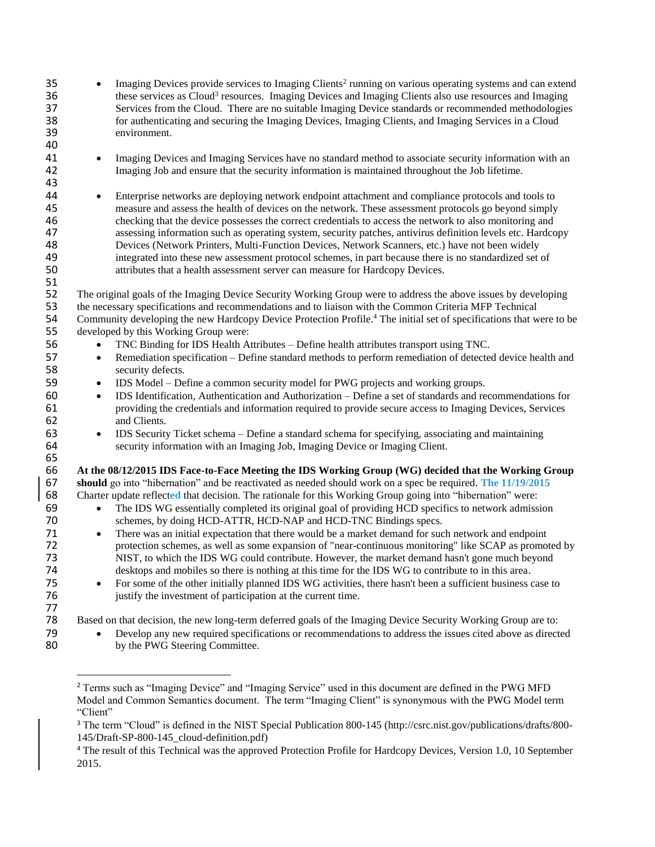| 35<br>36<br>37<br>38<br>39<br>40                                     | Imaging Devices provide services to Imaging Clients <sup>2</sup> running on various operating systems and can extend<br>these services as Cloud <sup>3</sup> resources. Imaging Devices and Imaging Clients also use resources and Imaging<br>Services from the Cloud. There are no suitable Imaging Device standards or recommended methodologies<br>for authenticating and securing the Imaging Devices, Imaging Clients, and Imaging Services in a Cloud<br>environment.                                                                                                                                                                                                                                                                                                                                                                                                                                                                                                                                                                                                                                                                               |
|----------------------------------------------------------------------|-----------------------------------------------------------------------------------------------------------------------------------------------------------------------------------------------------------------------------------------------------------------------------------------------------------------------------------------------------------------------------------------------------------------------------------------------------------------------------------------------------------------------------------------------------------------------------------------------------------------------------------------------------------------------------------------------------------------------------------------------------------------------------------------------------------------------------------------------------------------------------------------------------------------------------------------------------------------------------------------------------------------------------------------------------------------------------------------------------------------------------------------------------------|
| 41                                                                   | Imaging Devices and Imaging Services have no standard method to associate security information with an                                                                                                                                                                                                                                                                                                                                                                                                                                                                                                                                                                                                                                                                                                                                                                                                                                                                                                                                                                                                                                                    |
| 42                                                                   | $\bullet$                                                                                                                                                                                                                                                                                                                                                                                                                                                                                                                                                                                                                                                                                                                                                                                                                                                                                                                                                                                                                                                                                                                                                 |
| 43                                                                   | Imaging Job and ensure that the security information is maintained throughout the Job lifetime.                                                                                                                                                                                                                                                                                                                                                                                                                                                                                                                                                                                                                                                                                                                                                                                                                                                                                                                                                                                                                                                           |
| 44                                                                   | Enterprise networks are deploying network endpoint attachment and compliance protocols and tools to                                                                                                                                                                                                                                                                                                                                                                                                                                                                                                                                                                                                                                                                                                                                                                                                                                                                                                                                                                                                                                                       |
| 45                                                                   | $\bullet$                                                                                                                                                                                                                                                                                                                                                                                                                                                                                                                                                                                                                                                                                                                                                                                                                                                                                                                                                                                                                                                                                                                                                 |
| 46                                                                   | measure and assess the health of devices on the network. These assessment protocols go beyond simply                                                                                                                                                                                                                                                                                                                                                                                                                                                                                                                                                                                                                                                                                                                                                                                                                                                                                                                                                                                                                                                      |
| 47                                                                   | checking that the device possesses the correct credentials to access the network to also monitoring and                                                                                                                                                                                                                                                                                                                                                                                                                                                                                                                                                                                                                                                                                                                                                                                                                                                                                                                                                                                                                                                   |
| 48                                                                   | assessing information such as operating system, security patches, antivirus definition levels etc. Hardcopy                                                                                                                                                                                                                                                                                                                                                                                                                                                                                                                                                                                                                                                                                                                                                                                                                                                                                                                                                                                                                                               |
| 49                                                                   | Devices (Network Printers, Multi-Function Devices, Network Scanners, etc.) have not been widely                                                                                                                                                                                                                                                                                                                                                                                                                                                                                                                                                                                                                                                                                                                                                                                                                                                                                                                                                                                                                                                           |
| 50                                                                   | integrated into these new assessment protocol schemes, in part because there is no standardized set of                                                                                                                                                                                                                                                                                                                                                                                                                                                                                                                                                                                                                                                                                                                                                                                                                                                                                                                                                                                                                                                    |
| 51                                                                   | attributes that a health assessment server can measure for Hardcopy Devices.                                                                                                                                                                                                                                                                                                                                                                                                                                                                                                                                                                                                                                                                                                                                                                                                                                                                                                                                                                                                                                                                              |
| 52                                                                   | The original goals of the Imaging Device Security Working Group were to address the above issues by developing                                                                                                                                                                                                                                                                                                                                                                                                                                                                                                                                                                                                                                                                                                                                                                                                                                                                                                                                                                                                                                            |
| 53                                                                   | the necessary specifications and recommendations and to liaison with the Common Criteria MFP Technical                                                                                                                                                                                                                                                                                                                                                                                                                                                                                                                                                                                                                                                                                                                                                                                                                                                                                                                                                                                                                                                    |
| 54                                                                   | Community developing the new Hardcopy Device Protection Profile. <sup>4</sup> The initial set of specifications that were to be                                                                                                                                                                                                                                                                                                                                                                                                                                                                                                                                                                                                                                                                                                                                                                                                                                                                                                                                                                                                                           |
| 55                                                                   | developed by this Working Group were:                                                                                                                                                                                                                                                                                                                                                                                                                                                                                                                                                                                                                                                                                                                                                                                                                                                                                                                                                                                                                                                                                                                     |
| 56<br>57<br>58                                                       | TNC Binding for IDS Health Attributes - Define health attributes transport using TNC.<br>$\bullet$<br>Remediation specification – Define standard methods to perform remediation of detected device health and<br>$\bullet$<br>security defects.                                                                                                                                                                                                                                                                                                                                                                                                                                                                                                                                                                                                                                                                                                                                                                                                                                                                                                          |
| 59<br>60<br>61<br>62                                                 | IDS Model – Define a common security model for PWG projects and working groups.<br>$\bullet$<br>IDS Identification, Authentication and Authorization – Define a set of standards and recommendations for<br>$\bullet$<br>providing the credentials and information required to provide secure access to Imaging Devices, Services<br>and Clients.                                                                                                                                                                                                                                                                                                                                                                                                                                                                                                                                                                                                                                                                                                                                                                                                         |
| 63                                                                   | IDS Security Ticket schema – Define a standard schema for specifying, associating and maintaining                                                                                                                                                                                                                                                                                                                                                                                                                                                                                                                                                                                                                                                                                                                                                                                                                                                                                                                                                                                                                                                         |
| 64                                                                   | $\bullet$                                                                                                                                                                                                                                                                                                                                                                                                                                                                                                                                                                                                                                                                                                                                                                                                                                                                                                                                                                                                                                                                                                                                                 |
| 65                                                                   | security information with an Imaging Job, Imaging Device or Imaging Client.                                                                                                                                                                                                                                                                                                                                                                                                                                                                                                                                                                                                                                                                                                                                                                                                                                                                                                                                                                                                                                                                               |
| 66<br>67<br>68<br>69<br>70<br>71<br>72<br>73<br>74<br>75<br>76<br>77 | At the 08/12/2015 IDS Face-to-Face Meeting the IDS Working Group (WG) decided that the Working Group<br>should go into "hibernation" and be reactivated as needed should work on a spec be required. The 11/19/2015<br>Charter update reflected that decision. The rationale for this Working Group going into "hibernation" were:<br>The IDS WG essentially completed its original goal of providing HCD specifics to network admission<br>$\bullet$<br>schemes, by doing HCD-ATTR, HCD-NAP and HCD-TNC Bindings specs.<br>There was an initial expectation that there would be a market demand for such network and endpoint<br>$\bullet$<br>protection schemes, as well as some expansion of "near-continuous monitoring" like SCAP as promoted by<br>NIST, to which the IDS WG could contribute. However, the market demand hasn't gone much beyond<br>desktops and mobiles so there is nothing at this time for the IDS WG to contribute to in this area.<br>For some of the other initially planned IDS WG activities, there hasn't been a sufficient business case to<br>$\bullet$<br>justify the investment of participation at the current time. |
| 78                                                                   | Based on that decision, the new long-term deferred goals of the Imaging Device Security Working Group are to:                                                                                                                                                                                                                                                                                                                                                                                                                                                                                                                                                                                                                                                                                                                                                                                                                                                                                                                                                                                                                                             |
| 79                                                                   | Develop any new required specifications or recommendations to address the issues cited above as directed                                                                                                                                                                                                                                                                                                                                                                                                                                                                                                                                                                                                                                                                                                                                                                                                                                                                                                                                                                                                                                                  |
| 80                                                                   | by the PWG Steering Committee.                                                                                                                                                                                                                                                                                                                                                                                                                                                                                                                                                                                                                                                                                                                                                                                                                                                                                                                                                                                                                                                                                                                            |

 $\overline{a}$ 

 Terms such as "Imaging Device" and "Imaging Service" used in this document are defined in the PWG MFD Model and Common Semantics document. The term "Imaging Client" is synonymous with the PWG Model term "Client"

 The term "Cloud" is defined in the NIST Special Publication 800-145 (http://csrc.nist.gov/publications/drafts/800- 145/Draft-SP-800-145\_cloud-definition.pdf)

<sup>&</sup>lt;sup>4</sup> The result of this Technical was the approved Protection Profile for Hardcopy Devices, Version 1.0, 10 September .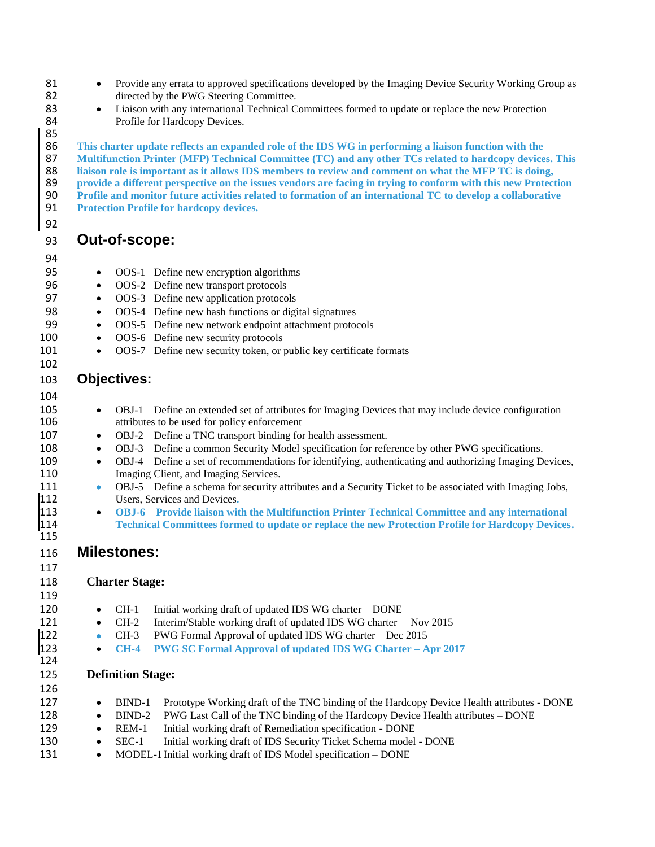- 81 Provide any errata to approved specifications developed by the Imaging Device Security Working Group as 82 directed by the PWG Steering Committee.
- 83 **Liaison with any international Technical Committees formed to update or replace the new Protection** 84 Profile for Hardcopy Devices.

85<br>86 **This charter update reflects an expanded role of the IDS WG in performing a liaison function with the Multifunction Printer (MFP) Technical Committee (TC) and any other TCs related to hardcopy devices. This liaison role is important as it allows IDS members to review and comment on what the MFP TC is doing, provide a different perspective on the issues vendors are facing in trying to conform with this new Protection Profile and monitor future activities related to formation of an international TC to develop a collaborative Protection Profile for hardcopy devices.**

# 93 **Out-of-scope:**

#### 94

92

- 95 OOS-1 Define new encryption algorithms
- 96 OOS-2 Define new transport protocols
- 97 OOS-3 Define new application protocols
- 98 OOS-4 Define new hash functions or digital signatures
- 99 OOS-5 Define new network endpoint attachment protocols
- 100 OOS-6 Define new security protocols
- 101 OOS-7 Define new security token, or public key certificate formats

### 103 **Objectives:**

#### 104

102

- 105 OBJ-1 Define an extended set of attributes for Imaging Devices that may include device configuration attributes to be used for policy enforcement attributes to be used for policy enforcement
- 107 OBJ-2 Define a TNC transport binding for health assessment.
- 108 OBJ-3 Define a common Security Model specification for reference by other PWG specifications.
- 109 OBJ-4 Define a set of recommendations for identifying, authenticating and authorizing Imaging Devices, 110 Imaging Client, and Imaging Services.
- 111 **OBJ-5** Define a schema for security attributes and a Security Ticket to be associated with Imaging Jobs, 112 Users, Services and Devices.<br>113 **• OBJ-6** Provide liaison wit
- 113 **OBJ-6 Provide liaison with the Multifunction Printer Technical Committee and any international**  114 **Technical Committees formed to update or replace the new Protection Profile for Hardcopy Devices.**

## 116 **Milestones:**

### 118 **Charter Stage:**

119

124

115

117

- 120 CH-1 Initial working draft of updated IDS WG charter DONE
- 121 CH-2 Interim/Stable working draft of updated IDS WG charter Nov 2015
- 122 CH-3 PWG Formal Approval of updated IDS WG charter Dec 2015
- 123 **CH-4 PWG SC Formal Approval of updated IDS WG Charter – Apr 2017**

### 125 **Definition Stage:**

126 127 • BIND-1 Prototype Working draft of the TNC binding of the Hardcopy Device Health attributes - DONE 128 • BIND-2 PWG Last Call of the TNC binding of the Hardcopy Device Health attributes – DONE 129 • REM-1 Initial working draft of Remediation specification - DONE 130 • SEC-1 Initial working draft of IDS Security Ticket Schema model - DONE 131 • MODEL-1 Initial working draft of IDS Model specification – DONE